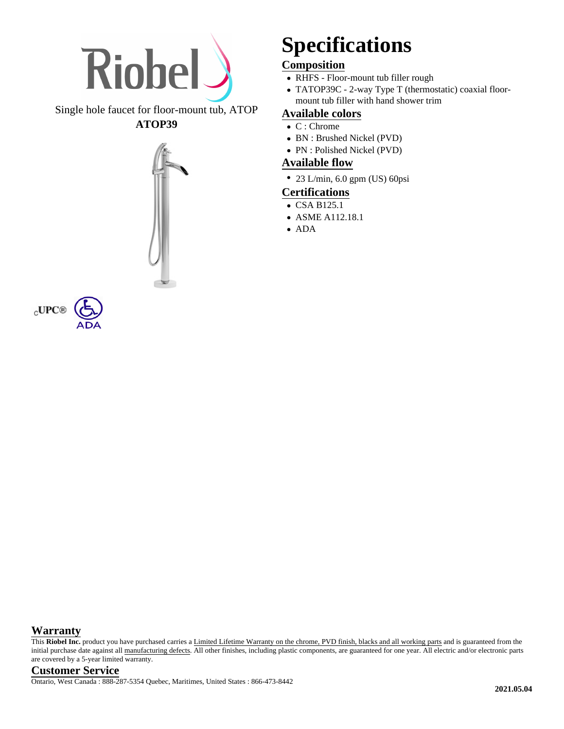

Single hole faucet for floor-mount tub, ATOP **ATOP39**



 $_{\rm C}$ UPC@

## **Specifications**

### **Composition**

- RHFS Floor-mount tub filler rough
- TATOP39C 2-way Type T (thermostatic) coaxial floormount tub filler with hand shower trim

#### **Available colors**

- C : Chrome
- BN : Brushed Nickel (PVD)
- PN : Polished Nickel (PVD)

#### **Available flow**

• 23 L/min, 6.0 gpm (US) 60psi

#### **Certifications**

- CSA B125.1
- ASME A112.18.1
- ADA

#### **Warranty**

This Riobel Inc. product you have purchased carries a Limited Lifetime Warranty on the chrome, PVD finish, blacks and all working parts and is guaranteed from the initial purchase date against all manufacturing defects. All other finishes, including plastic components, are guaranteed for one year. All electric and/or electronic parts are covered by a 5-year limited warranty.

**Customer Service** Ontario, West Canada : 888-287-5354 Quebec, Maritimes, United States : 866-473-8442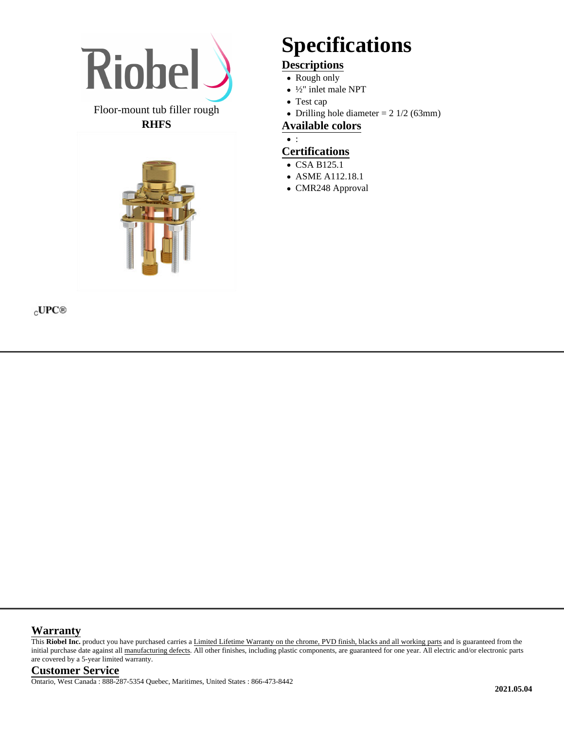

#### Floor-mount tub filler rough **RHFS**



# **Specifications**

### **Descriptions**

- Rough only
- ½" inlet male NPT
- Test cap
- Drilling hole diameter  $= 2 \frac{1}{2} (63 \text{mm})$

#### **Available colors**

 $\bullet$  :

#### **Certifications**

- CSA B125.1
- ASME A112.18.1
- CMR248 Approval

#### $_{\rm C}$ UPC<sup>®</sup>

#### **Warranty**

This Riobel Inc. product you have purchased carries a Limited Lifetime Warranty on the chrome, PVD finish, blacks and all working parts and is guaranteed from the initial purchase date against all manufacturing defects. All other finishes, including plastic components, are guaranteed for one year. All electric and/or electronic parts are covered by a 5-year limited warranty.

#### **Customer Service**

Ontario, West Canada : 888-287-5354 Quebec, Maritimes, United States : 866-473-8442